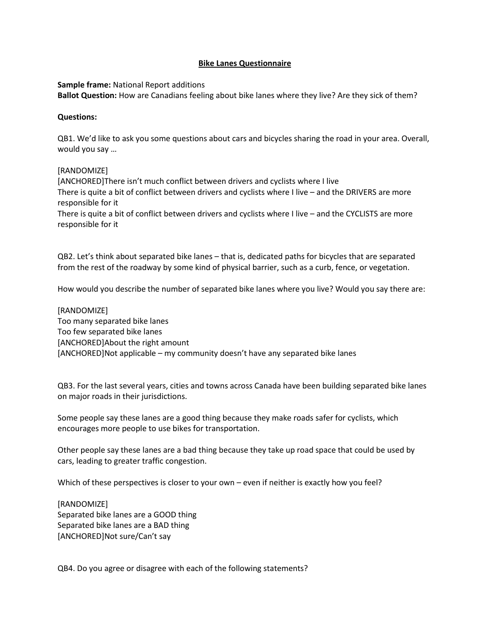## **Bike Lanes Questionnaire**

**Sample frame:** National Report additions

**Ballot Question:** How are Canadians feeling about bike lanes where they live? Are they sick of them?

## **Questions:**

QB1. We'd like to ask you some questions about cars and bicycles sharing the road in your area. Overall, would you say …

## [RANDOMIZE]

[ANCHORED]There isn't much conflict between drivers and cyclists where I live There is quite a bit of conflict between drivers and cyclists where I live – and the DRIVERS are more responsible for it

There is quite a bit of conflict between drivers and cyclists where I live – and the CYCLISTS are more responsible for it

QB2. Let's think about separated bike lanes – that is, dedicated paths for bicycles that are separated from the rest of the roadway by some kind of physical barrier, such as a curb, fence, or vegetation.

How would you describe the number of separated bike lanes where you live? Would you say there are:

[RANDOMIZE] Too many separated bike lanes Too few separated bike lanes [ANCHORED]About the right amount [ANCHORED]Not applicable – my community doesn't have any separated bike lanes

QB3. For the last several years, cities and towns across Canada have been building separated bike lanes on major roads in their jurisdictions.

Some people say these lanes are a good thing because they make roads safer for cyclists, which encourages more people to use bikes for transportation.

Other people say these lanes are a bad thing because they take up road space that could be used by cars, leading to greater traffic congestion.

Which of these perspectives is closer to your own – even if neither is exactly how you feel?

[RANDOMIZE] Separated bike lanes are a GOOD thing Separated bike lanes are a BAD thing [ANCHORED]Not sure/Can't say

QB4. Do you agree or disagree with each of the following statements?